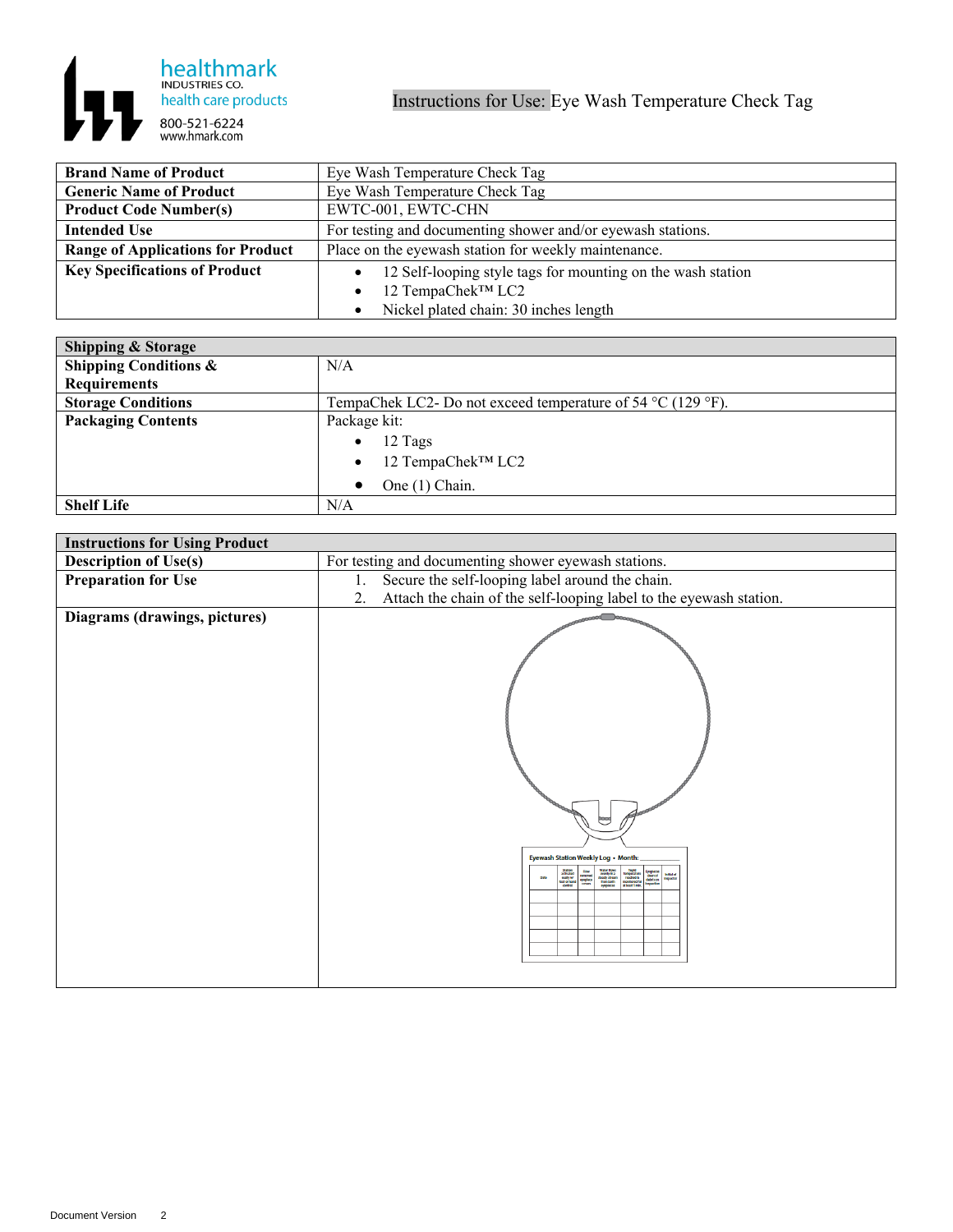

| <b>Brand Name of Product</b>             | Eye Wash Temperature Check Tag                              |
|------------------------------------------|-------------------------------------------------------------|
| <b>Generic Name of Product</b>           | Eye Wash Temperature Check Tag                              |
| <b>Product Code Number(s)</b>            | EWTC-001, EWTC-CHN                                          |
| <b>Intended Use</b>                      | For testing and documenting shower and/or eyewash stations. |
| <b>Range of Applications for Product</b> | Place on the eyewash station for weekly maintenance.        |
| <b>Key Specifications of Product</b>     | 12 Self-looping style tags for mounting on the wash station |
|                                          | 12 TempaChek™ LC2<br>$\bullet$                              |
|                                          | Nickel plated chain: 30 inches length                       |

| <b>Shipping &amp; Storage</b>    |                                                                                 |
|----------------------------------|---------------------------------------------------------------------------------|
| <b>Shipping Conditions &amp;</b> | N/A                                                                             |
| Requirements                     |                                                                                 |
| <b>Storage Conditions</b>        | TempaChek LC2- Do not exceed temperature of 54 $^{\circ}$ C (129 $^{\circ}$ F). |
| <b>Packaging Contents</b>        | Package kit:                                                                    |
|                                  | 12 Tags<br>$\bullet$                                                            |
|                                  | 12 TempaChek™ LC2<br>$\bullet$                                                  |
|                                  | One (1) Chain.                                                                  |
| <b>Shelf Life</b>                | N/A                                                                             |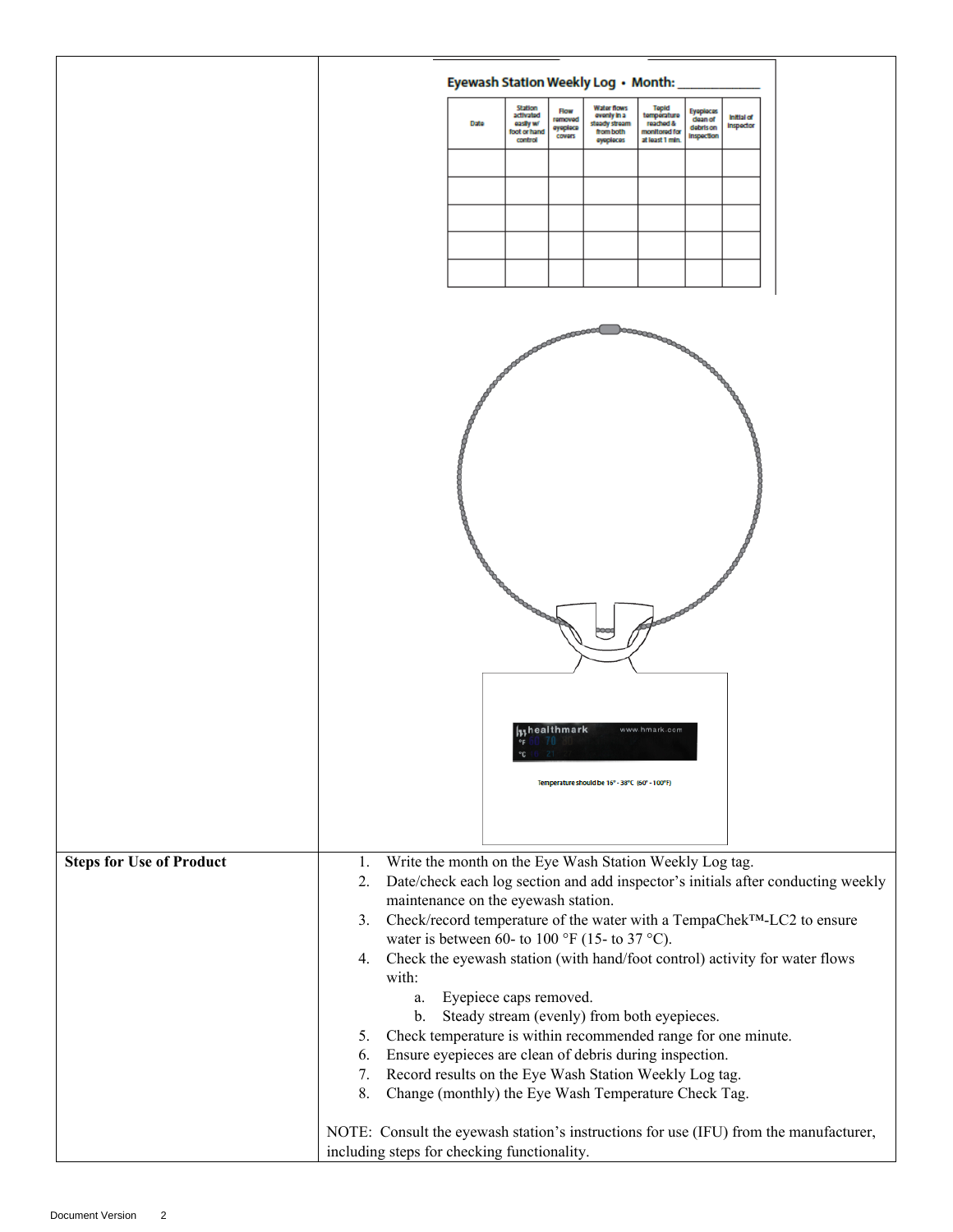|                                 | Eyewash Station Weekly Log . Month:                                                                                                                                                                                                                                                                                                                                       |
|---------------------------------|---------------------------------------------------------------------------------------------------------------------------------------------------------------------------------------------------------------------------------------------------------------------------------------------------------------------------------------------------------------------------|
|                                 | Station<br><b>Water flows</b><br>Tepid<br><b>Flow</b><br>Eyaplacas<br>activated<br>temperature<br>ovenly in a<br><b>Initial of</b><br>removed<br>dean of<br>reached &<br><b>Date</b><br>easily w/<br>steady stream<br>Inspector<br>oyoploca<br>debris on<br>monitored for<br>foot or hand<br>from both<br>Inspection<br>covers<br>at least 1 min.<br>control<br>ayoplocas |
|                                 |                                                                                                                                                                                                                                                                                                                                                                           |
|                                 |                                                                                                                                                                                                                                                                                                                                                                           |
|                                 |                                                                                                                                                                                                                                                                                                                                                                           |
|                                 |                                                                                                                                                                                                                                                                                                                                                                           |
|                                 |                                                                                                                                                                                                                                                                                                                                                                           |
|                                 | processesseed<br><b>ADDRESS CONTROL</b>                                                                                                                                                                                                                                                                                                                                   |
|                                 |                                                                                                                                                                                                                                                                                                                                                                           |
|                                 |                                                                                                                                                                                                                                                                                                                                                                           |
|                                 |                                                                                                                                                                                                                                                                                                                                                                           |
|                                 |                                                                                                                                                                                                                                                                                                                                                                           |
|                                 |                                                                                                                                                                                                                                                                                                                                                                           |
|                                 |                                                                                                                                                                                                                                                                                                                                                                           |
|                                 |                                                                                                                                                                                                                                                                                                                                                                           |
|                                 |                                                                                                                                                                                                                                                                                                                                                                           |
|                                 |                                                                                                                                                                                                                                                                                                                                                                           |
|                                 |                                                                                                                                                                                                                                                                                                                                                                           |
|                                 |                                                                                                                                                                                                                                                                                                                                                                           |
|                                 | <b>Inhealthmark</b><br>www.hmark.com<br>$^{\circ}$ F                                                                                                                                                                                                                                                                                                                      |
|                                 | Temperature should be 16° - 38°C (60° - 100°F)                                                                                                                                                                                                                                                                                                                            |
|                                 |                                                                                                                                                                                                                                                                                                                                                                           |
|                                 |                                                                                                                                                                                                                                                                                                                                                                           |
| <b>Steps for Use of Product</b> | Write the month on the Eye Wash Station Weekly Log tag.<br>1.<br>Date/check each log section and add inspector's initials after conducting weekly<br>2.                                                                                                                                                                                                                   |
|                                 | maintenance on the eyewash station.<br>Check/record temperature of the water with a TempaChek <sup>TM</sup> -LC2 to ensure<br>3.                                                                                                                                                                                                                                          |
|                                 | water is between 60- to 100 °F (15- to 37 °C).                                                                                                                                                                                                                                                                                                                            |
|                                 | 4. Check the eyewash station (with hand/foot control) activity for water flows<br>with:                                                                                                                                                                                                                                                                                   |
|                                 | Eyepiece caps removed.<br>a.                                                                                                                                                                                                                                                                                                                                              |
|                                 | Steady stream (evenly) from both eyepieces.<br>b.<br>Check temperature is within recommended range for one minute.<br>5.                                                                                                                                                                                                                                                  |
|                                 | Ensure eyepieces are clean of debris during inspection.<br>6.                                                                                                                                                                                                                                                                                                             |
|                                 | Record results on the Eye Wash Station Weekly Log tag.<br>7.                                                                                                                                                                                                                                                                                                              |
|                                 | Change (monthly) the Eye Wash Temperature Check Tag.<br>8.                                                                                                                                                                                                                                                                                                                |
|                                 | NOTE: Consult the eyewash station's instructions for use (IFU) from the manufacturer,<br>including steps for checking functionality.                                                                                                                                                                                                                                      |
|                                 |                                                                                                                                                                                                                                                                                                                                                                           |